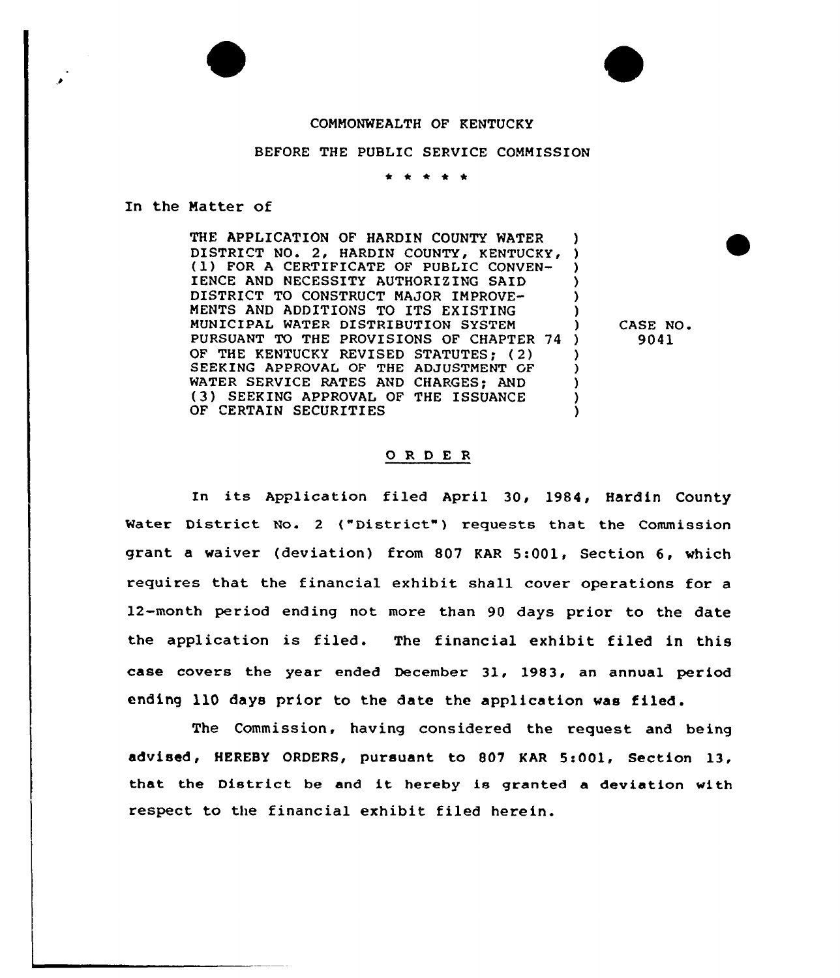## COMMONWEALTH OF KENTUCKY

## BEFORE THE PUBLIC SERVICE COMMISSION

\* \* \* \* \*

## In the Matter of

THE APPLICATION OF HARDIN COUNTY WATER THE APPLICATION OF HARDIN COUNTY WATER )<br>DISTRICT NO. 2, HARDIN COUNTY, KENTUCKY, ) FOR A CERTIFICATE OF PUBLIC CONVEN-IENCE AND NECESSITY AUTHORIZING SAID DISTRICT TO CONSTRUCT MAJOR IMPROVE-MENTS AND ADDITIONS TO ITS EXISTING MUNICIPAL WATER DISTRIBUTION SYSTEM PURSUANT TO THE PROVISIONS OF CHAPTER 74 OF THE KENTUCKY REVISED STATUTES; (2) SEEKING APPROVAL OF THE ADJUSTMENT GF WATER SERVICE RATES AND CHARGES: AND ( 3 ) SEEKING APPROVAL OF THE ISSUANCE OF CERTAIN SECURITIES ) ) ) ) ) ) ) ) ) )

) CASE NO. ) 9041

## ORDER

In its Application filed April 30, 1984, Hardin County Water District No. 2 ("District") requests that the Commission grant <sup>a</sup> waiver (deviation) from 807 KAR 5:001, Section 6, which requires that the financial exhibit shall cover operations for a 12-month period ending not more than 90 days prior to the date the application is filed. The financial exhibit filed in this case covers the year ended December 31, 1983, an annual period ending ll0 days prior to the date the application was filed.

The Commission, having considered the request and being advised, HEREBY ORDERS, pursuant to 807 KAR 5:001, Section 13, that the District be and it hereby is granted <sup>a</sup> deviation with respect to the financial exhibit filed herein.